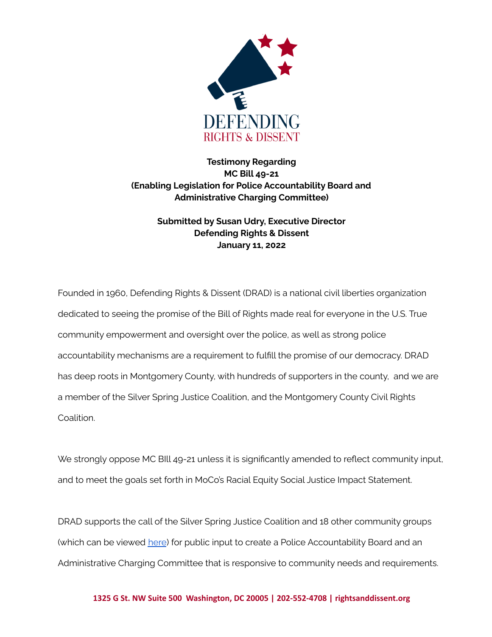

## **Testimony Regarding MC Bill 49-21 (Enabling Legislation for Police Accountability Board and Administrative Charging Committee)**

## **Submitted by Susan Udry, Executive Director Defending Rights & Dissent January 11, 2022**

Founded in 1960, Defending Rights & Dissent (DRAD) is a national civil liberties organization dedicated to seeing the promise of the Bill of Rights made real for everyone in the U.S. True community empowerment and oversight over the police, as well as strong police accountability mechanisms are a requirement to fulfill the promise of our democracy. DRAD has deep roots in Montgomery County, with hundreds of supporters in the county, and we are a member of the Silver Spring Justice Coalition, and the Montgomery County Civil Rights Coalition.

We strongly oppose MC BIll 49-21 unless it is significantly amended to reflect community input, and to meet the goals set forth in MoCo's Racial Equity Social Justice Impact Statement.

DRAD supports the call of the Silver Spring Justice Coalition and 18 other community groups (which can be viewed [here](https://drive.google.com/file/d/1UwRBGrdHyTmqHxsuYBBbNxph784jmi3G/view?usp=sharing)) for public input to create a Police Accountability Board and an Administrative Charging Committee that is responsive to community needs and requirements.